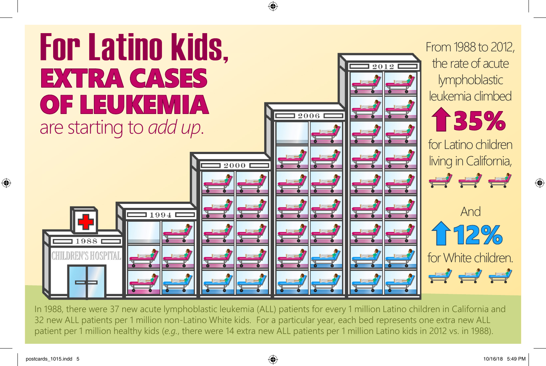

In 1988, there were 37 new acute lymphoblastic leukemia (ALL) patients for every 1 million Latino children in California and 32 new ALL patients per 1 million non-Latino White kids. For a particular year, each bed represents one extra new ALL patient per 1 million healthy kids (*e.g.*, there were 14 extra new ALL patients per 1 million Latino kids in 2012 vs. in 1988).